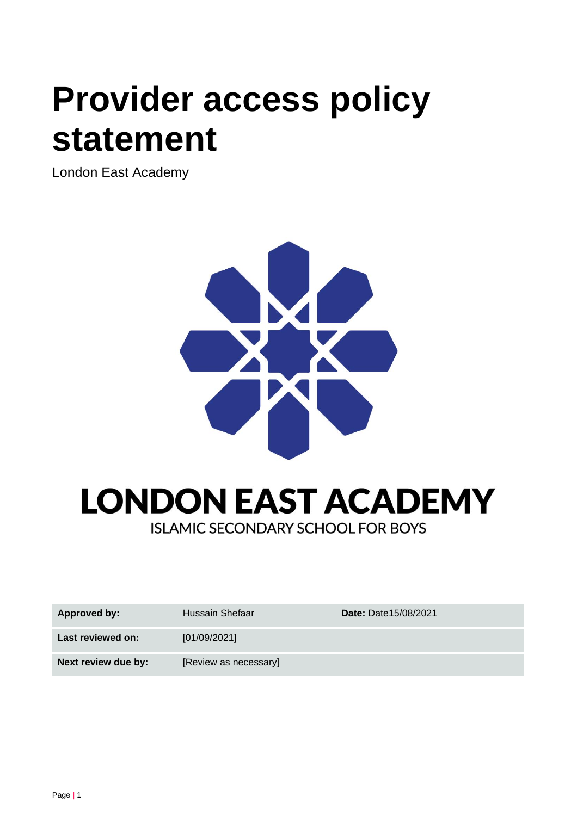# **Provider access policy statement**

London East Academy





| Approved by:        | Hussain Shefaar       | <b>Date: Date15/08/2021</b> |
|---------------------|-----------------------|-----------------------------|
| Last reviewed on:   | [01/09/2021]          |                             |
| Next review due by: | [Review as necessary] |                             |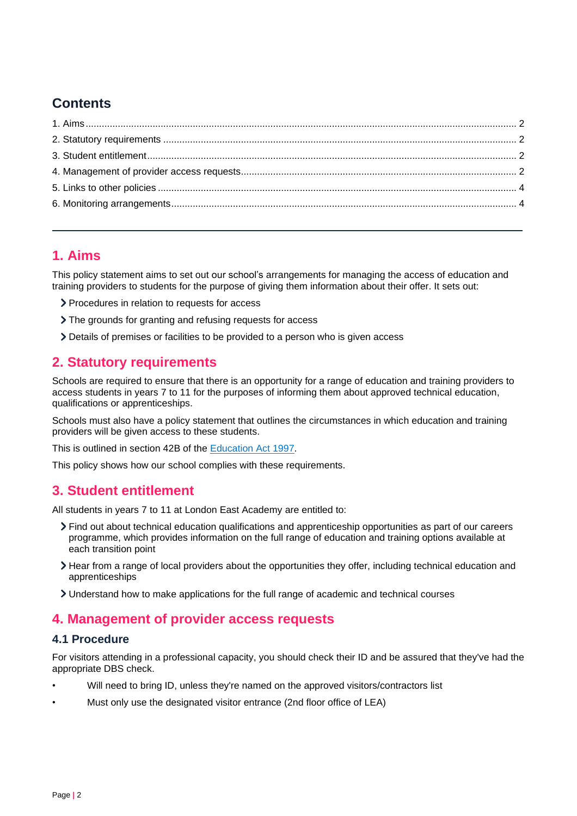# **Contents**

# <span id="page-1-0"></span>**1. Aims**

This policy statement aims to set out our school's arrangements for managing the access of education and training providers to students for the purpose of giving them information about their offer. It sets out:

- Procedures in relation to requests for access
- The grounds for granting and refusing requests for access
- Details of premises or facilities to be provided to a person who is given access

## <span id="page-1-1"></span>**2. Statutory requirements**

Schools are required to ensure that there is an opportunity for a range of education and training providers to access students in years 7 to 11 for the purposes of informing them about approved technical education, qualifications or apprenticeships.

Schools must also have a policy statement that outlines the circumstances in which education and training providers will be given access to these students.

This is outlined in section 42B of the [Education Act 1997.](https://www.legislation.gov.uk/ukpga/1997/44/section/42B)

This policy shows how our school complies with these requirements.

## <span id="page-1-2"></span>**3. Student entitlement**

All students in years 7 to 11 at London East Academy are entitled to:

- Find out about technical education qualifications and apprenticeship opportunities as part of our careers programme, which provides information on the full range of education and training options available at each transition point
- Hear from a range of local providers about the opportunities they offer, including technical education and apprenticeships
- Understand how to make applications for the full range of academic and technical courses

## <span id="page-1-3"></span>**4. Management of provider access requests**

#### **4.1 Procedure**

For visitors attending in a professional capacity, you should check their ID and be assured that they've had the appropriate DBS check.

- Will need to bring ID, unless they're named on the approved visitors/contractors list
- Must only use the designated visitor entrance (2nd floor office of LEA)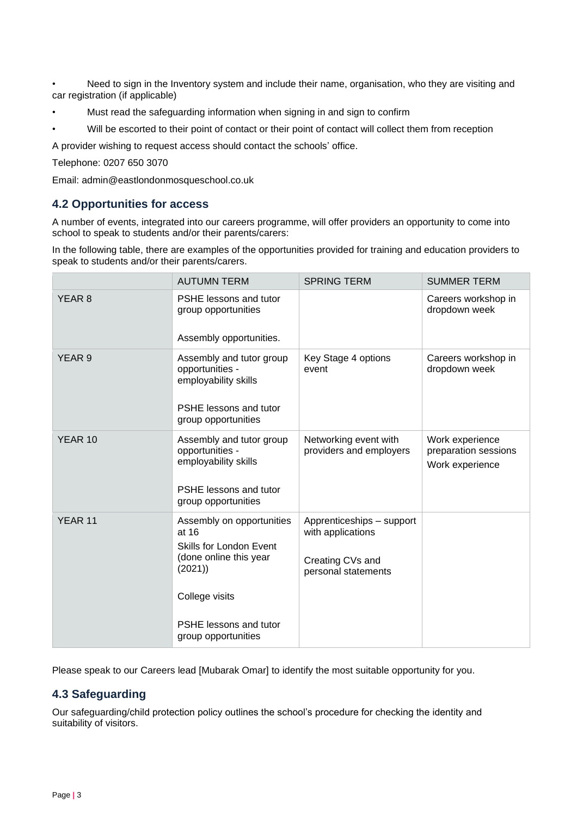• Need to sign in the Inventory system and include their name, organisation, who they are visiting and car registration (if applicable)

- Must read the safeguarding information when signing in and sign to confirm
- Will be escorted to their point of contact or their point of contact will collect them from reception

A provider wishing to request access should contact the schools' office.

Telephone: 0207 650 3070

Email: admin@eastlondonmosqueschool.co.uk

#### **4.2 Opportunities for access**

A number of events, integrated into our careers programme, will offer providers an opportunity to come into school to speak to students and/or their parents/carers:

In the following table, there are examples of the opportunities provided for training and education providers to speak to students and/or their parents/carers.

|                   | <b>AUTUMN TERM</b>                                                                                                                                                          | <b>SPRING TERM</b>                                                                        | <b>SUMMER TERM</b>                                         |
|-------------------|-----------------------------------------------------------------------------------------------------------------------------------------------------------------------------|-------------------------------------------------------------------------------------------|------------------------------------------------------------|
| YEAR 8            | PSHE lessons and tutor<br>group opportunities<br>Assembly opportunities.                                                                                                    |                                                                                           | Careers workshop in<br>dropdown week                       |
| YEAR <sub>9</sub> | Assembly and tutor group<br>opportunities -<br>employability skills<br>PSHE lessons and tutor<br>group opportunities                                                        | Key Stage 4 options<br>event                                                              | Careers workshop in<br>dropdown week                       |
| YEAR 10           | Assembly and tutor group<br>opportunities -<br>employability skills<br>PSHE lessons and tutor<br>group opportunities                                                        | Networking event with<br>providers and employers                                          | Work experience<br>preparation sessions<br>Work experience |
| YEAR 11           | Assembly on opportunities<br>at 16<br><b>Skills for London Event</b><br>(done online this year<br>(2021)<br>College visits<br>PSHE lessons and tutor<br>group opportunities | Apprenticeships - support<br>with applications<br>Creating CVs and<br>personal statements |                                                            |

Please speak to our Careers lead [Mubarak Omar] to identify the most suitable opportunity for you.

#### **4.3 Safeguarding**

Our safeguarding/child protection policy outlines the school's procedure for checking the identity and suitability of visitors.